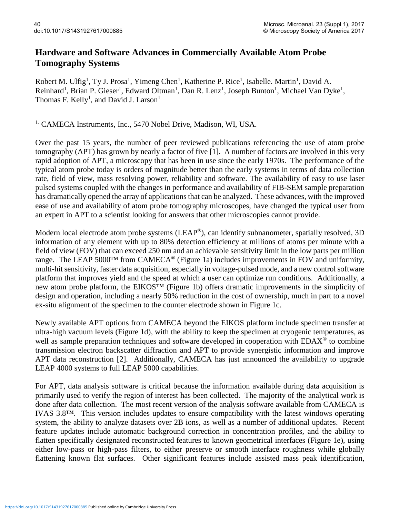## **Hardware and Software Advances in Commercially Available Atom Probe Tomography Systems**

Robert M. Ulfig<sup>1</sup>, Ty J. Prosa<sup>1</sup>, Yimeng Chen<sup>1</sup>, Katherine P. Rice<sup>1</sup>, Isabelle. Martin<sup>1</sup>, David A. Reinhard<sup>1</sup>, Brian P. Gieser<sup>1</sup>, Edward Oltman<sup>1</sup>, Dan R. Lenz<sup>1</sup>, Joseph Bunton<sup>1</sup>, Michael Van Dyke<sup>1</sup>, Thomas F. Kelly<sup>1</sup>, and David J. Larson<sup>1</sup>

<sup>1.</sup> CAMECA Instruments, Inc., 5470 Nobel Drive, Madison, WI, USA.

Over the past 15 years, the number of peer reviewed publications referencing the use of atom probe tomography (APT) has grown by nearly a factor of five [1]. A number of factors are involved in this very rapid adoption of APT, a microscopy that has been in use since the early 1970s. The performance of the typical atom probe today is orders of magnitude better than the early systems in terms of data collection rate, field of view, mass resolving power, reliability and software. The availability of easy to use laser pulsed systems coupled with the changes in performance and availability of FIB-SEM sample preparation has dramatically opened the array of applications that can be analyzed. These advances, with the improved ease of use and availability of atom probe tomography microscopes, have changed the typical user from an expert in APT to a scientist looking for answers that other microscopies cannot provide.

Modern local electrode atom probe systems (LEAP®), can identify subnanometer, spatially resolved, 3D information of any element with up to 80% detection efficiency at millions of atoms per minute with a field of view (FOV) that can exceed 250 nm and an achievable sensitivity limit in the low parts per million range. The LEAP 5000<sup>TM</sup> from CAMECA<sup>®</sup> (Figure 1a) includes improvements in FOV and uniformity, multi-hit sensitivity, faster data acquisition, especially in voltage-pulsed mode, and a new control software platform that improves yield and the speed at which a user can optimize run conditions. Additionally, a new atom probe platform, the EIKOS™ (Figure 1b) offers dramatic improvements in the simplicity of design and operation, including a nearly 50% reduction in the cost of ownership, much in part to a novel ex-situ alignment of the specimen to the counter electrode shown in Figure 1c.

Newly available APT options from CAMECA beyond the EIKOS platform include specimen transfer at ultra-high vacuum levels (Figure 1d), with the ability to keep the specimen at cryogenic temperatures, as well as sample preparation techniques and software developed in cooperation with EDAX<sup>®</sup> to combine transmission electron backscatter diffraction and APT to provide synergistic information and improve APT data reconstruction [2]. Additionally, CAMECA has just announced the availability to upgrade LEAP 4000 systems to full LEAP 5000 capabilities.

For APT, data analysis software is critical because the information available during data acquisition is primarily used to verify the region of interest has been collected. The majority of the analytical work is done after data collection. The most recent version of the analysis software available from CAMECA is IVAS 3.8™. This version includes updates to ensure compatibility with the latest windows operating system, the ability to analyze datasets over 2B ions, as well as a number of additional updates. Recent feature updates include automatic background correction in concentration profiles, and the ability to flatten specifically designated reconstructed features to known geometrical interfaces (Figure 1e), using either low-pass or high-pass filters, to either preserve or smooth interface roughness while globally flattening known flat surfaces. Other significant features include assisted mass peak identification,